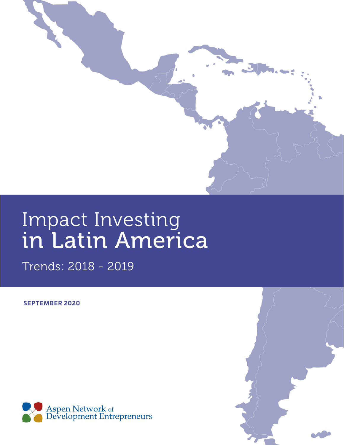

## Impact Investing in Latin America

Trends: 2018 - 2019

**SEPTEMBER 2020**



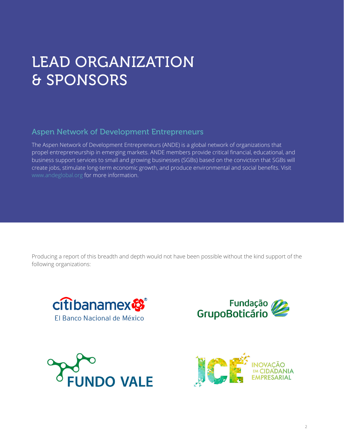## LEAD ORGANIZATION & SPONSORS

## Aspen Network of Development Entrepreneurs

The Aspen Network of Development Entrepreneurs (ANDE) is a global network of organizations that propel entrepreneurship in emerging markets. ANDE members provide critical financial, educational, and business support services to small and growing businesses (SGBs) based on the conviction that SGBs will create jobs, stimulate long-term economic growth, and produce environmental and social benefits. Visit [www.andeglobal.org](http://www.andeglobal.org) for more information.

Producing a report of this breadth and depth would not have been possible without the kind support of the following organizations:







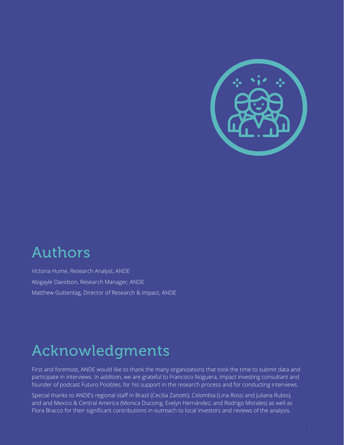

## Authors

Victoria Hume, Research Analyst, ANDE Abigayle Davidson, Research Manager, ANDE Matthew Guttentag, Director of Research & Impact, ANDE

## Acknowledgments

First and foremost, ANDE would like to thank the many organizations that took the time to submit data and participate in interviews. In addition, we are grateful to Francisco Noguera, impact investing consultant and founder of podcast Futuro Posibles, for his support in the research process and for conducting interviews.

Special thanks to ANDE's regional staff in Brazil (Cecilia Zanotti), Colombia (Lina Rossi and Juliana Rubio), and and Mexico & Central America (Monica Ducoing, Evelyn Hernández, and Rodrigo Morales) as well as Flora Bracco for their significant contributions in outreach to local investors and reviews of the analysis.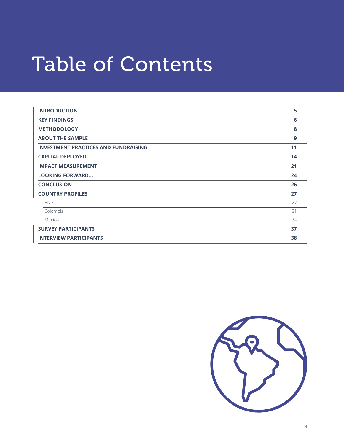# Table of Contents

| <b>INTRODUCTION</b>                         | 5  |
|---------------------------------------------|----|
| <b>KEY FINDINGS</b>                         | 6  |
| <b>METHODOLOGY</b>                          | 8  |
| <b>ABOUT THE SAMPLE</b>                     | 9  |
| <b>INVESTMENT PRACTICES AND FUNDRAISING</b> | 11 |
| <b>CAPITAL DEPLOYED</b>                     | 14 |
| <b>IMPACT MEASUREMENT</b>                   | 21 |
| <b>LOOKING FORWARD</b>                      | 24 |
| <b>CONCLUSION</b>                           | 26 |
| <b>COUNTRY PROFILES</b>                     | 27 |
| Brazil                                      | 27 |
| Colombia                                    | 31 |
| Mexico                                      | 34 |
| <b>SURVEY PARTICIPANTS</b>                  | 37 |
| <b>INTERVIEW PARTICIPANTS</b>               | 38 |

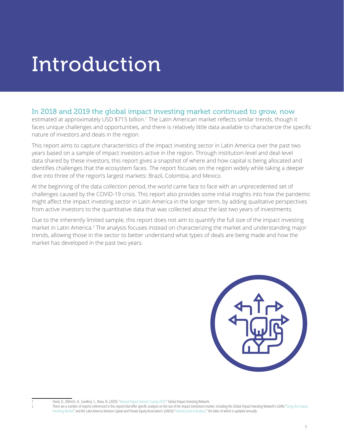## <span id="page-4-0"></span>Introduction

### In 2018 and 2019 the global impact investing market continued to grow, now

estimated at approximately USD \$715 billion.<sup>1</sup> The Latin American market reflects similar trends, though it faces unique challenges and opportunities, and there is relatively little data available to characterize the specific nature of investors and deals in the region.

This report aims to capture characteristics of the impact investing sector in Latin America over the past two years based on a sample of impact investors active in the region. Through institution-level and deal-level data shared by these investors, this report gives a snapshot of where and how capital is being allocated and identifies challenges that the ecosystem faces. The report focuses on the region widely while taking a deeper dive into three of the region's largest markets: Brazil, Colombia, and Mexico.

At the beginning of the data collection period, the world came face to face with an unprecedented set of challenges caused by the COVID-19 crisis. This report also provides some initial insights into how the pandemic might affect the impact investing sector in Latin America in the longer term, by adding qualitative perspectives from active investors to the quantitative data that was collected about the last two years of investments.

Due to the inherently limited sample, this report does not aim to quantify the full size of the impact investing market in Latin America.<sup>2</sup> The analysis focuses instead on characterizing the market and understanding major trends, allowing those in the sector to better understand what types of deals are being made and how the market has developed in the past two years.



Hand, D., Dithrich, H., Sunderji, S., Nova, N. (2020). "[Annual Impact Investor Survey 2020](https://thegiin.org/research/publication/impinv-survey-2020)." Global Impact Investing Network.

There are a number of reports (referenced in this report) that offer specific analyses on the size of the impact investment market, including the Global Impact Investing Network's (GIIN) "Sizing the Impact [Investing Market](https://thegiin.org/research/publication/impinv-market-size)" and the Latin America Venture Capital and Private Equity Association's (LAVCA) "[Industry Data & Analysis,](https://lavca.org/industry-data/2020-industry-data-analysis/)" the latter of which is updated annually.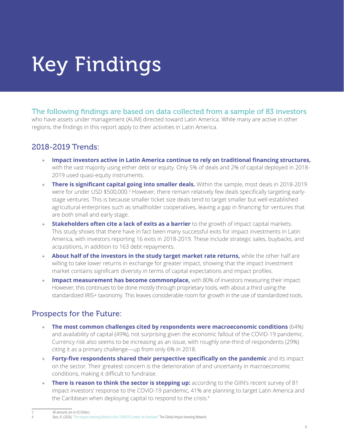# <span id="page-5-0"></span>Key Findings

The following findings are based on data collected from a sample of 83 investors who have assets under management (AUM) directed toward Latin America. While many are active in other regions, the findings in this report apply to their activities in Latin America.

## 2018-2019 Trends:

- + **Impact investors active in Latin America continue to rely on traditional financing structures,** with the vast majority using either debt or equity. Only 5% of deals and 2% of capital deployed in 2018- 2019 used quasi-equity instruments.
- + **There is significant capital going into smaller deals.** Within the sample, most deals in 2018-2019 were for under USD \$500,000.<sup>3</sup> However, there remain relatively few deals specifically targeting earlystage ventures. This is because smaller ticket size deals tend to target smaller but well-established agricultural enterprises such as smallholder cooperatives, leaving a gap in financing for ventures that are both small and early stage.
- **Stakeholders often cite a lack of exits as a barrier** to the growth of impact capital markets. This study shows that there have in fact been many successful exits for impact investments in Latin America, with investors reporting 16 exits in 2018-2019. These include strategic sales, buybacks, and acquisitions, in addition to 163 debt repayments.
- + **About half of the investors in the study target market rate returns,** while the other half are willing to take lower returns in exchange for greater impact, showing that the impact investment market contains significant diversity in terms of capital expectations and impact profiles.
- + **Impact measurement has become commonplace,** with 80% of investors measuring their impact. However, this continues to be done mostly through proprietary tools, with about a third using the standardized IRIS+ taxonomy. This leaves considerable room for growth in the use of standardized tools.

## Prospects for the Future:

- + **The most common challenges cited by respondents were macroeconomic conditions** (64%) and availability of capital (49%), not surprising given the economic fallout of the COVID-19 pandemic. Currency risk also seems to be increasing as an issue, with roughly one-third of respondents (29%) citing it as a primary challenge—up from only 6% in 2018.
- + **Forty-five respondents shared their perspective specifically on the pandemic** and its impact on the sector. Their greatest concern is the deterioration of and uncertainty in macroeconomic conditions, making it difficult to fundraise.
- + **There is reason to think the sector is stepping up:** according to the GIIN's recent survey of 81 impact investors' response to the COVID-19 pandemic, 41% are planning to target Latin America and the Caribbean when deploying capital to respond to the crisis.<sup>4</sup>

All amounts are in US Dollars.

Bass, R. (2020). ["The Impact Investing Market in the COVID19 Context: An Overview.](https://thegiin.org/research/publication/the-impact-investing-market-in-the-covid-19-context-an-overview)" The Global Impact Investing Network.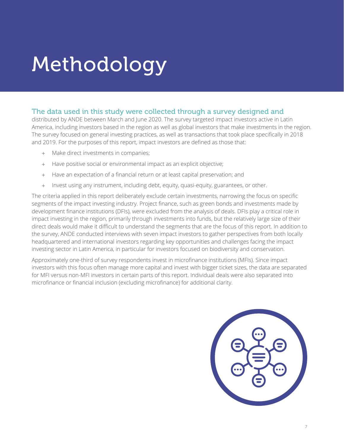# Methodology

## The data used in this study were collected through a survey designed and

distributed by ANDE between March and June 2020. The survey targeted impact investors active in Latin America, including investors based in the region as well as global investors that make investments in the region. The survey focused on general investing practices, as well as transactions that took place specifically in 2018 and 2019. For the purposes of this report, impact investors are defined as those that:

- + Make direct investments in companies;
- + Have positive social or environmental impact as an explicit objective;
- + Have an expectation of a financial return or at least capital preservation; and
- + Invest using any instrument, including debt, equity, quasi-equity, guarantees, or other.

The criteria applied in this report deliberately exclude certain investments, narrowing the focus on specific segments of the impact investing industry. Project finance, such as green bonds and investments made by development finance institutions (DFIs), were excluded from the analysis of deals. DFIs play a critical role in impact investing in the region, primarily through investments into funds, but the relatively large size of their direct deals would make it difficult to understand the segments that are the focus of this report. In addition to the survey, ANDE conducted interviews with seven impact investors to gather perspectives from both locally headquartered and international investors regarding key opportunities and challenges facing the impact investing sector in Latin America, in particular for investors focused on biodiversity and conservation.

Approximately one-third of survey respondents invest in microfinance institutions (MFIs). Since impact investors with this focus often manage more capital and invest with bigger ticket sizes, the data are separated for MFI versus non-MFI investors in certain parts of this report. Individual deals were also separated into microfinance or financial inclusion (excluding microfinance) for additional clarity.

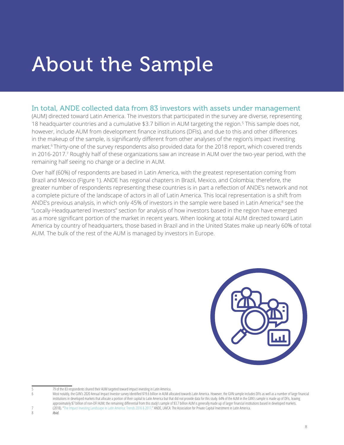## <span id="page-7-0"></span>About the Sample

## In total, ANDE collected data from 83 investors with assets under management

(AUM) directed toward Latin America. The investors that participated in the survey are diverse, representing 18 headquarter countries and a cumulative \$3.7 billion in AUM targeting the region.5 This sample does not, however, include AUM from development finance institutions (DFIs), and due to this and other differences in the makeup of the sample, is significantly different from other analyses of the region's impact investing market.<sup>6</sup> Thirty-one of the survey respondents also provided data for the 2018 report, which covered trends in 2016-2017.<sup>7</sup> Roughly half of these organizations saw an increase in AUM over the two-year period, with the remaining half seeing no change or a decline in AUM.

Over half (60%) of respondents are based in Latin America, with the greatest representation coming from Brazil and Mexico (Figure 1). ANDE has regional chapters in Brazil, Mexico, and Colombia; therefore, the greater number of respondents representing these countries is in part a reflection of ANDE's network and not a complete picture of the landscape of actors in all of Latin America. This local representation is a shift from ANDE's previous analysis, in which only 45% of investors in the sample were based in Latin America;<sup>8</sup> see the "Locally-Headquartered Investors" section for analysis of how investors based in the region have emerged as a more significant portion of the market in recent years. When looking at total AUM directed toward Latin America by country of headquarters, those based in Brazil and in the United States make up nearly 60% of total AUM. The bulk of the rest of the AUM is managed by investors in Europe.



8 *Ibid.*

<sup>5 79</sup> of the 83 respondents shared their AUM targeted toward impact investing in Latin America.

Most notably, the GIIN's 2020 Annual Impact Investor survey identified \$19.6 billion in AUM allocated towards Latin America. However, the GIIN sample includes DFIs as well as a number of large financial institutions in developed markets that allocate a portion of their capital to Latin America but that did not provide data for this study. 64% of the AUM in the GIIN's sample is made up of DFIs, leaving approximately \$7 billion of non-DFI AUM; the remaining differential from this study's sample of \$3.7 billion AUM is generally made up of larger financial institutions based in developed markets. 7 (2018). "[The Impact Investing Landscape in Latin America: Trends 2016 & 2017.](https://lavca.org/wp-content/uploads/2018/10/UPDATEDAF_ASPEN_Summary_LATAM_ENG_2018_Digital_19outubro.pdf)" ANDE, LAVCA: The Association for Private Capital Investment in Latin America.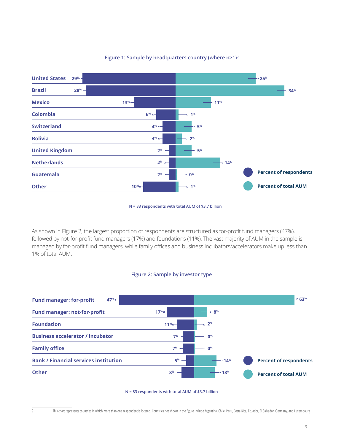

#### **Figure 1: Sample by headquarters country (where n>1)9**

**N = 83 respondents with total AUM of \$3.7 billion**

As shown in Figure 2, the largest proportion of respondents are structured as for-profit fund managers (47%), followed by not-for-profit fund managers (17%) and foundations (11%). The vast majority of AUM in the sample is managed by for-profit fund managers, while family offices and business incubators/accelerators make up less than 1% of total AUM.





**N = 83 respondents with total AUM of \$3.7 billion**

This chart represents countries in which more than one respondent is located. Countries not shown in the figure include Argentina, Chile, Peru, Costa Rica, Ecuador, El Salvador, Germany, and Luxembourg.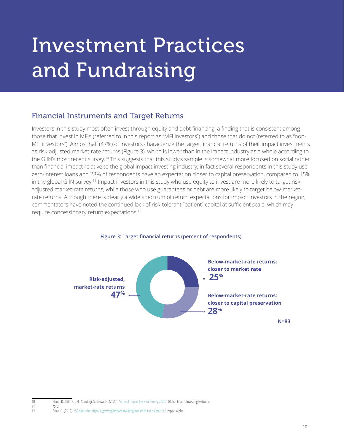# <span id="page-9-0"></span>Investment Practices and Fundraising

## Financial Instruments and Target Returns

Investors in this study most often invest through equity and debt financing, a finding that is consistent among those that invest in MFIs (referred to in this report as "MFI investors") and those that do not (referred to as "non-MFI investors"). Almost half (47%) of investors characterize the target financial returns of their impact investments as risk-adjusted market-rate returns (Figure 3), which is lower than in the impact industry as a whole according to the GIIN's most recent survey.10 This suggests that this study's sample is somewhat more focused on social rather than financial impact relative to the global impact investing industry; in fact several respondents in this study use zero-interest loans and 28% of respondents have an expectation closer to capital preservation, compared to 15% in the global GIIN survey.<sup>11</sup> Impact investors in this study who use equity to invest are more likely to target riskadjusted market-rate returns, while those who use guarantees or debt are more likely to target below-marketrate returns. Although there is clearly a wide spectrum of return expectations for impact investors in the region, commentators have noted the continued lack of risk-tolerant "patient" capital at sufficient scale, which may require concessionary return expectations.12



### **Figure 3: Target financial returns (percent of respondents)**

<sup>10</sup> Hand, D., Dithrich, H., Sunderji, S., Nova, N. (2020). "[Annual Impact Investor Survey 2020](https://thegiin.org/research/publication/impinv-survey-2020)." Global Impact Investing Network.

<sup>11</sup> *Ibid.*

Price, D. (2019). "[50 deals that signal a growing impact investing market in Latin America](https://impactalpha.com/50-deals-that-signal-a-growing-impact-investing-market-in-latin-america/)." Impact Alpha.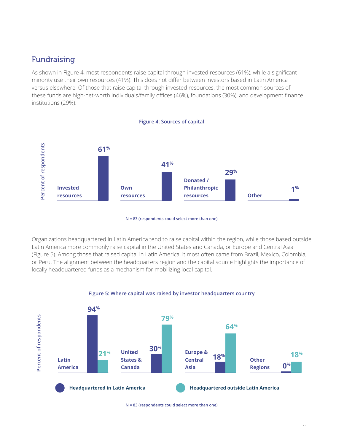## Fundraising

As shown in Figure 4, most respondents raise capital through invested resources (61%), while a significant minority use their own resources (41%). This does not differ between investors based in Latin America versus elsewhere. Of those that raise capital through invested resources, the most common sources of these funds are high-net-worth individuals/family offices (46%), foundations (30%), and development finance institutions (29%).



**N = 83 (respondents could select more than one)**

Organizations headquartered in Latin America tend to raise capital within the region, while those based outside Latin America more commonly raise capital in the United States and Canada, or Europe and Central Asia (Figure 5). Among those that raised capital in Latin America, it most often came from Brazil, Mexico, Colombia, or Peru. The alignment between the headquarters region and the capital source highlights the importance of locally headquartered funds as a mechanism for mobilizing local capital.





**N = 83 (respondents could select more than one)**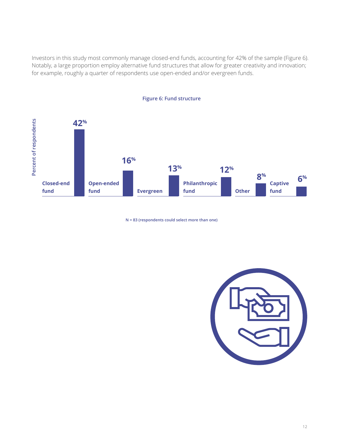Investors in this study most commonly manage closed-end funds, accounting for 42% of the sample (Figure 6). Notably, a large proportion employ alternative fund structures that allow for greater creativity and innovation; for example, roughly a quarter of respondents use open-ended and/or evergreen funds.



**Figure 6: Fund structure**

**N = 83 (respondents could select more than one)**

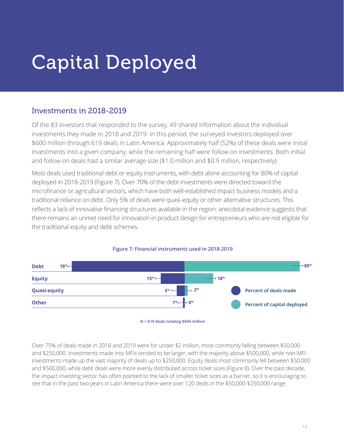## <span id="page-12-0"></span>Capital Deployed

## Investments in 2018-2019

Of the 83 investors that responded to the survey, 49 shared information about the individual investments they made in 2018 and 2019. In this period, the surveyed investors deployed over \$600 million through 619 deals in Latin America. Approximately half (52%) of these deals were initial investments into a given company, while the remaining half were follow-on investments. Both initial and follow-on deals had a similar average size (\$1.0 million and \$0.9 million, respectively).

Most deals used traditional debt or equity instruments, with debt alone accounting for 80% of capital deployed in 2018-2019 (Figure 7). Over 70% of the debt investments were directed toward the microfinance or agricultural sectors, which have both well-established impact business models and a traditional reliance on debt. Only 5% of deals were quasi-equity or other alternative structures. This reflects a lack of innovative financing structures available in the region: anecdotal evidence suggests that there remains an unmet need for innovation in product design for entrepreneurs who are not eligible for the traditional equity and debt schemes.



### **Figure 7: Financial instruments used in 2018-2019**

Over 75% of deals made in 2018 and 2019 were for under \$2 million, most commonly falling between \$50,000 and \$250,000. Investments made into MFIs tended to be larger, with the majority above \$500,000, while non-MFI investments made up the vast majority of deals up to \$250,000. Equity deals most commonly fell between \$50,000 and \$500,000, while debt deals were more evenly distributed across ticket sizes (Figure 8). Over the past decade, the impact investing sector has often pointed to the lack of smaller ticket sizes as a barrier, so it is encouraging to see that in the past two years in Latin America there were over 120 deals in the \$50,000-\$250,000 range.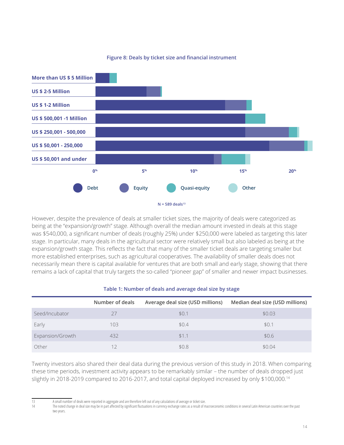

### **Figure 8: Deals by ticket size and financial instrument**

However, despite the prevalence of deals at smaller ticket sizes, the majority of deals were categorized as being at the "expansion/growth" stage. Although overall the median amount invested in deals at this stage was \$540,000, a significant number of deals (roughly 25%) under \$250,000 were labeled as targeting this later stage. In particular, many deals in the agricultural sector were relatively small but also labeled as being at the expansion/growth stage. This reflects the fact that many of the smaller ticket deals are targeting smaller but more established enterprises, such as agricultural cooperatives. The availability of smaller deals does not necessarily mean there is capital available for ventures that are both small and early stage, showing that there remains a lack of capital that truly targets the so-called "pioneer gap" of smaller and newer impact businesses.

|                  | Number of deals | Average deal size (USD millions) | Median deal size (USD millions) |
|------------------|-----------------|----------------------------------|---------------------------------|
| Seed/Incubator   |                 | \$0.1                            | \$0.03                          |
| Early            | 103             | \$0.4                            | \$0.1                           |
| Expansion/Growth | 432             | \$1.1                            | \$0.6                           |
| Other            |                 | \$0.8                            | \$0.04                          |

#### **Table 1: Number of deals and average deal size by stage**

Twenty investors also shared their deal data during the previous version of this study in 2018. When comparing these time periods, investment activity appears to be remarkably similar – the number of deals dropped just slightly in 2018-2019 compared to 2016-2017, and total capital deployed increased by only \$100,000.14

The noted change in deal size may be in part affected by significant fluctuations in currency exchange rates as a result of macroeconomic conditions in several Latin American countries over the past two years.

<sup>13</sup> Asmall number of deals were reported in aggregate and are therefore left out of any calculations of average or ticket size.<br>14 The noted change in deal size may be in part affected by significant fluctuations in currenc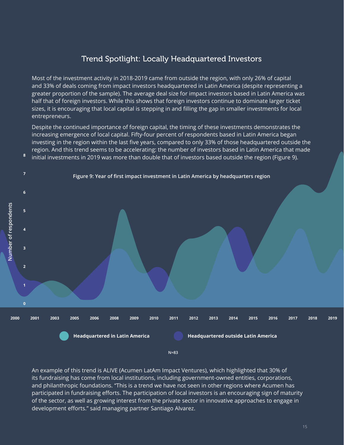## Trend Spotlight: Locally Headquartered Investors

Most of the investment activity in 2018-2019 came from outside the region, with only 26% of capital and 33% of deals coming from impact investors headquartered in Latin America (despite representing a greater proportion of the sample). The average deal size for impact investors based in Latin America was half that of foreign investors. While this shows that foreign investors continue to dominate larger ticket sizes, it is encouraging that local capital is stepping in and filling the gap in smaller investments for local entrepreneurs.

Despite the continued importance of foreign capital, the timing of these investments demonstrates the increasing emergence of local capital. Fifty-four percent of respondents based in Latin America began investing in the region within the last five years, compared to only 33% of those headquartered outside the region. And this trend seems to be accelerating: the number of investors based in Latin America that made





**8**

**4**

Number of respondents **Number of respondents**

**3**



**N=83**

An example of this trend is ALIVE (Acumen LatAm Impact Ventures), which highlighted that 30% of its fundraising has come from local institutions, including government-owned entities, corporations, and philanthropic foundations. "This is a trend we have not seen in other regions where Acumen has participated in fundraising efforts. The participation of local investors is an encouraging sign of maturity of the sector, as well as growing interest from the private sector in innovative approaches to engage in development efforts." said managing partner Santiago Alvarez.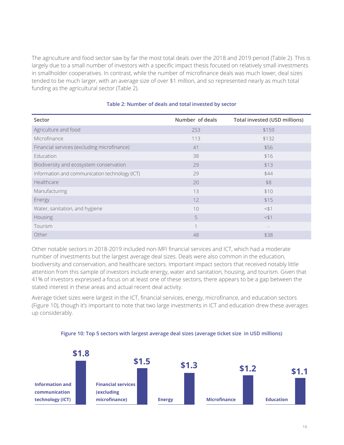The agriculture and food sector saw by far the most total deals over the 2018 and 2019 period (Table 2). This is largely due to a small number of investors with a specific impact thesis focused on relatively small investments in smallholder cooperatives. In contrast, while the number of microfinance deals was much lower, deal sizes tended to be much larger, with an average size of over \$1 million, and so represented nearly as much total funding as the agricultural sector (Table 2).

| Sector                                         | Number of deals | Total invested (USD millions) |
|------------------------------------------------|-----------------|-------------------------------|
| Agriculture and food                           | 253             | \$159                         |
| Microfinance                                   | 113             | \$132                         |
| Financial services (excluding microfinance)    | 41              | \$56                          |
| Education                                      | 38              | \$16                          |
| Biodiversity and ecosystem conservation        | 29              | \$13                          |
| Information and communication technology (ICT) | 29              | \$44                          |
| Healthcare                                     | 20              | \$8                           |
| Manufacturing                                  | 13              | \$10                          |
| Energy                                         | 12              | \$15                          |
| Water, sanitation, and hygiene                 | 10              | $<$ $$$ 1                     |
| Housing                                        | 5               | $<$ $$$ 1                     |
| Tourism                                        | $\mathcal{L}$   |                               |
| Other                                          | 48              | \$38                          |

### **Table 2: Number of deals and total invested by sector**

Other notable sectors in 2018-2019 included non-MFI financial services and ICT, which had a moderate number of investments but the largest average deal sizes. Deals were also common in the education, biodiversity and conservation, and healthcare sectors. Important impact sectors that received notably little attention from this sample of investors include energy, water and sanitation, housing, and tourism. Given that 41% of investors expressed a focus on at least one of these sectors, there appears to be a gap between the stated interest in these areas and actual recent deal activity.

Average ticket sizes were largest in the ICT, financial services, energy, microfinance, and education sectors (Figure 10), though it's important to note that two large investments in ICT and education drew these averages up considerably.



#### **Figure 10: Top 5 sectors with largest average deal sizes (average ticket size in USD millions)**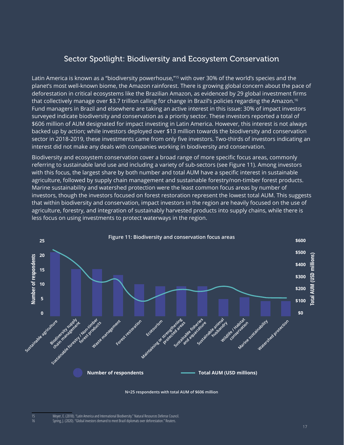## Sector Spotlight: Biodiversity and Ecosystem Conservation

Latin America is known as a "biodiversity powerhouse,"<sup>15</sup> with over 30% of the world's species and the planet's most well-known biome, the Amazon rainforest. There is growing global concern about the pace of deforestation in critical ecosystems like the Brazilian Amazon, as evidenced by 29 global investment firms that collectively manage over \$3.7 trillion calling for change in Brazil's policies regarding the Amazon.<sup>16</sup> Fund managers in Brazil and elsewhere are taking an active interest in this issue: 30% of impact investors surveyed indicate biodiversity and conservation as a priority sector. These investors reported a total of \$606 million of AUM designated for impact investing in Latin America. However, this interest is not always backed up by action; while investors deployed over \$13 million towards the biodiversity and conservation sector in 2018-2019, these investments came from only five investors. Two-thirds of investors indicating an interest did not make any deals with companies working in biodiversity and conservation.

Biodiversity and ecosystem conservation cover a broad range of more specific focus areas, commonly referring to sustainable land use and including a variety of sub-sectors (see Figure 11). Among investors with this focus, the largest share by both number and total AUM have a specific interest in sustainable agriculture, followed by supply chain management and sustainable forestry/non-timber forest products. Marine sustainability and watershed protection were the least common focus areas by number of investors, though the investors focused on forest restoration represent the lowest total AUM. This suggests that within biodiversity and conservation, impact investors in the region are heavily focused on the use of agriculture, forestry, and integration of sustainably harvested products into supply chains, while there is less focus on using investments to protect waterways in the region.



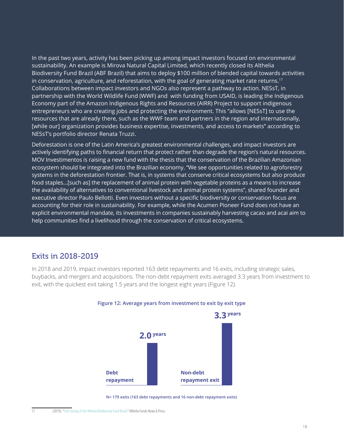In the past two years, activity has been picking up among impact investors focused on environmental sustainability. An example is Mirova Natural Capital Limited, which recently closed its Althelia Biodiversity Fund Brazil (ABF Brazil) that aims to deploy \$100 million of blended capital towards activities in conservation, agriculture, and reforestation, with the goal of generating market rate returns.<sup>17</sup> Collaborations between impact investors and NGOs also represent a pathway to action. NESsT, in partnership with the World Wildlife Fund (WWF) and with funding from USAID, is leading the Indigenous Economy part of the Amazon Indigenous Rights and Resources (AIRR) Project to support indigenous entrepreneurs who are creating jobs and protecting the environment. This "allows [NESsT] to use the resources that are already there, such as the WWF team and partners in the region and internationally, [while our] organization provides business expertise, investments, and access to markets" according to NESsT's portfolio director Renata Truzzi.

Deforestation is one of the Latin America's greatest environmental challenges, and impact investors are actively identifying paths to financial return that protect rather than degrade the region's natural resources. MOV Investimentos is raising a new fund with the thesis that the conservation of the Brazilian Amazonian ecosystem should be integrated into the Brazilian economy. "We see opportunities related to agroforestry systems in the deforestation frontier. That is, in systems that conserve critical ecosystems but also produce food staples…[such as] the replacement of animal protein with vegetable proteins as a means to increase the availability of alternatives to conventional livestock and animal protein systems", shared founder and executive director Paulo Bellotti. Even investors without a specific biodiversity or conservation focus are accounting for their role in sustainability. For example, while the Acumen Pioneer Fund does not have an explicit environmental mandate, its investments in companies sustainably harvesting cacao and acai aim to help communities find a livelihood through the conservation of critical ecosystems.

## Exits in 2018-2019

In 2018 and 2019, impact investors reported 163 debt repayments and 16 exits, including strategic sales, buybacks, and mergers and acquisitions. The non-debt repayment exits averaged 3.3 years from investment to exit, with the quickest exit taking 1.5 years and the longest eight years (Figure 12).



#### **Figure 12: Average years from investment to exit by exit type**

**N= 179 exits (163 debt repayments and 16 non-debt repayment exits)**

<sup>17 (2019). &</sup>quot;First closing of the Althelia [Biodiversity](https://althelia.com/2019/10/28/first-closing-of-the-althelia-biodiversity-fund-brazil/) Fund Brazil." Althelia Funds News & Press.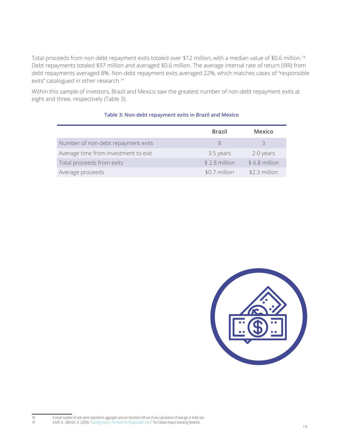Total proceeds from non-debt repayment exits totaled over \$12 million, with a median value of \$0.6 million.18 Debt repayments totaled \$97 million and averaged \$0.6 million. The average internal rate of return (IRR) from debt repayments averaged 8%. Non-debt repayment exits averaged 22%, which matches cases of "responsible exits" catalogued in other research.<sup>19</sup>

Within this sample of investors, Brazil and Mexico saw the greatest number of non-debt repayment exits at eight and three, respectively (Table 3).

|                                      | <b>Brazil</b>  | Mexico         |
|--------------------------------------|----------------|----------------|
| Number of non-debt repayment exits   |                |                |
| Average time from investment to exit | 3.5 years      | 2.0 years      |
| Total proceeds from exits            | $$2.8$ million | $$6.8$ million |
| Average proceeds                     | \$0.7 million  | \$2.3 million  |

### **Table 3: Non-debt repayment exits in Brazil and Mexico**



18 **A** small number of exits were reported in aggregate and are therefore left out of any calculations of average or ticket size. 19 Schiff, H., Dithrich, H. (2018). "[Lasting Impact: The Need for Responsible Exits.](https://thegiin.org/assets/GIIN_Responsible%20Exits_2018.pdf)" The Global Impact Investing Network.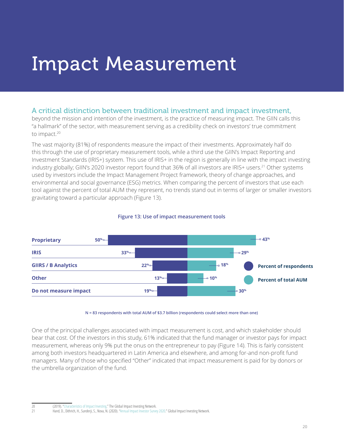## <span id="page-19-0"></span>Impact Measurement

## A critical distinction between traditional investment and impact investment,

beyond the mission and intention of the investment, is the practice of measuring impact. The GIIN calls this "a hallmark" of the sector, with measurement serving as a credibility check on investors' true commitment to impact.<sup>20</sup>

The vast majority (81%) of respondents measure the impact of their investments. Approximately half do this through the use of proprietary measurement tools, while a third use the GIIN's Impact Reporting and Investment Standards (IRIS+) system. This use of IRIS+ in the region is generally in line with the impact investing industry globally; GIIN's 2020 investor report found that 36% of all investors are IRIS+ users.<sup>21</sup> Other systems used by investors include the Impact Management Project framework, theory of change approaches, and environmental and social governance (ESG) metrics. When comparing the percent of investors that use each tool against the percent of total AUM they represent, no trends stand out in terms of larger or smaller investors gravitating toward a particular approach (Figure 13).



### **Figure 13: Use of impact measurement tools**

**N = 83 respondents with total AUM of \$3.7 billion (respondents could select more than one)**

One of the principal challenges associated with impact measurement is cost, and which stakeholder should bear that cost. Of the investors in this study, 61% indicated that the fund manager or investor pays for impact measurement, whereas only 9% put the onus on the entrepreneur to pay (Figure 14). This is fairly consistent among both investors headquartered in Latin America and elsewhere, and among for-and non-profit fund managers. Many of those who specified "Other" indicated that impact measurement is paid for by donors or the umbrella organization of the fund.

<sup>20 (2019). &</sup>quot;Characteristics of Impact Investing." The Global Impact Investing Network.<br>21 Hand D. Dithrich H. Sunderii S. Nova N. (2020). "Annual Impact Investor Surve

Hand, D., Dithrich, H., Sunderji, S., Nova, N. (2020). "[Annual Impact Investor Survey 2020](https://thegiin.org/research/publication/impinv-survey-2020)." Global Impact Investing Network.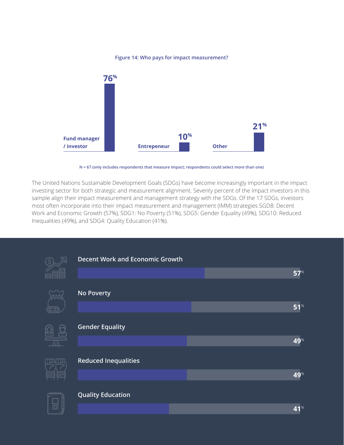

### **Figure 14: Who pays for impact measurement?**

**N = 67 (only includes respondents that measure impact; respondents could select more than one)**

The United Nations Sustainable Development Goals (SDGs) have become increasingly important in the impact investing sector for both strategic and measurement alignment. Seventy percent of the impact investors in this sample align their impact measurement and management strategy with the SDGs. Of the 17 SDGs, investors most often incorporate into their impact measurement and management (IMM) strategies SGD8: Decent Work and Economic Growth (57%), SDG1: No Poverty (51%), SDG5: Gender Equality (49%), SDG10: Reduced Inequalities (49%), and SDG4: Quality Education (41%).

| <b>Decent Work and Economic Growth</b> |  |            |
|----------------------------------------|--|------------|
|                                        |  | <b>57%</b> |
| <b>No Poverty</b>                      |  |            |
|                                        |  | 51%        |
| <b>Gender Equality</b>                 |  |            |
|                                        |  | 49%        |
| <b>Reduced Inequalities</b>            |  |            |
|                                        |  | 49%        |
| <b>Quality Education</b>               |  |            |
|                                        |  | 41%        |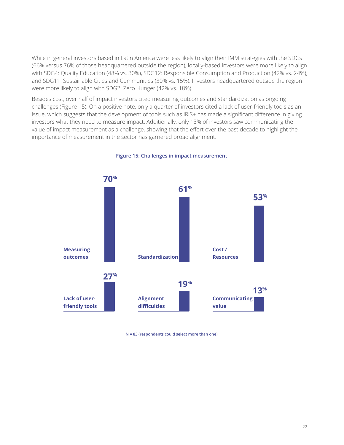While in general investors based in Latin America were less likely to align their IMM strategies with the SDGs (66% versus 76% of those headquartered outside the region), locally-based investors were more likely to align with SDG4: Quality Education (48% vs. 30%), SDG12: Responsible Consumption and Production (42% vs. 24%), and SDG11: Sustainable Cities and Communities (30% vs. 15%). Investors headquartered outside the region were more likely to align with SDG2: Zero Hunger (42% vs. 18%).

Besides cost, over half of impact investors cited measuring outcomes and standardization as ongoing challenges (Figure 15). On a positive note, only a quarter of investors cited a lack of user-friendly tools as an issue, which suggests that the development of tools such as IRIS+ has made a significant difference in giving investors what they need to measure impact. Additionally, only 13% of investors saw communicating the value of impact measurement as a challenge, showing that the effort over the past decade to highlight the importance of measurement in the sector has garnered broad alignment.



**Figure 15: Challenges in impact measurement**

**N = 83 (respondents could select more than one)**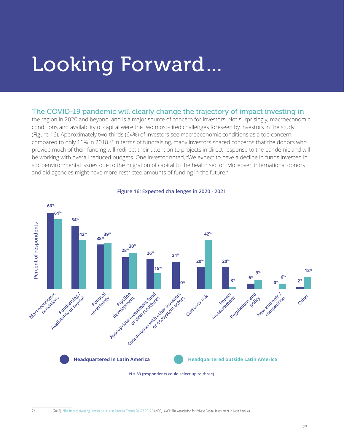## <span id="page-22-0"></span>Looking Forward…

### The COVID-19 pandemic will clearly change the trajectory of impact investing in

the region in 2020 and beyond, and is a major source of concern for investors. Not surprisingly, macroeconomic conditions and availability of capital were the two most-cited challenges foreseen by investors in the study (Figure 16). Approximately two-thirds (64%) of investors see macroeconomic conditions as a top concern, compared to only 16% in 2018.<sup>22</sup> In terms of fundraising, many investors shared concerns that the donors who provide much of their funding will redirect their attention to projects in direct response to the pandemic and will be working with overall reduced budgets. One investor noted, "We expect to have a decline in funds invested in socioenvironmental issues due to the migration of capital to the health sector. Moreover, international donors and aid agencies might have more restricted amounts of funding in the future."



### **Figure 16: Expected challenges in 2020 - 2021**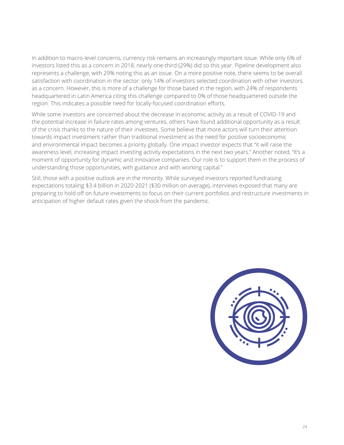In addition to macro-level concerns, currency risk remains an increasingly important issue. While only 6% of investors listed this as a concern in 2018, nearly one-third (29%) did so this year. Pipeline development also represents a challenge, with 29% noting this as an issue. On a more positive note, there seems to be overall satisfaction with coordination in the sector: only 14% of investors selected coordination with other investors as a concern. However, this is more of a challenge for those based in the region, with 24% of respondents headquartered in Latin America citing this challenge compared to 0% of those headquartered outside the region. This indicates a possible need for locally-focused coordination efforts.

While some investors are concerned about the decrease in economic activity as a result of COVID-19 and the potential increase in failure rates among ventures, others have found additional opportunity as a result of the crisis thanks to the nature of their investees. Some believe that more actors will turn their attention towards impact investment rather than traditional investment as the need for positive socioeconomic and environmental impact becomes a priority globally. One impact investor expects that "it will raise the awareness level, increasing impact investing activity expectations in the next two years." Another noted, "It's a moment of opportunity for dynamic and innovative companies. Our role is to support them in the process of understanding those opportunities, with guidance and with working capital."

Still, those with a positive outlook are in the minority. While surveyed investors reported fundraising expectations totaling \$3.4 billion in 2020-2021 (\$30 million on average), interviews exposed that many are preparing to hold off on future investments to focus on their current portfolios and restructure investments in anticipation of higher default rates given the shock from the pandemic.

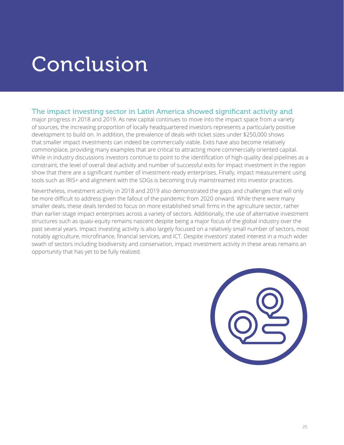## <span id="page-24-0"></span>Conclusion

## The impact investing sector in Latin America showed significant activity and

major progress in 2018 and 2019. As new capital continues to move into the impact space from a variety of sources, the increasing proportion of locally headquartered investors represents a particularly positive development to build on. In addition, the prevalence of deals with ticket sizes under \$250,000 shows that smaller impact investments can indeed be commercially viable. Exits have also become relatively commonplace, providing many examples that are critical to attracting more commercially oriented capital. While in industry discussions investors continue to point to the identification of high-quality deal pipelines as a constraint, the level of overall deal activity and number of successful exits for impact investment in the region show that there are a significant number of investment-ready enterprises. Finally, impact measurement using tools such as IRIS+ and alignment with the SDGs is becoming truly mainstreamed into investor practices.

Nevertheless, investment activity in 2018 and 2019 also demonstrated the gaps and challenges that will only be more difficult to address given the fallout of the pandemic from 2020 onward. While there were many smaller deals, these deals tended to focus on more established small firms in the agriculture sector, rather than earlier-stage impact enterprises across a variety of sectors. Additionally, the use of alternative investment structures such as quasi-equity remains nascent despite being a major focus of the global industry over the past several years. Impact investing activity is also largely focused on a relatively small number of sectors, most notably agriculture, microfinance, financial services, and ICT. Despite investors' stated interest in a much wider swath of sectors including biodiversity and conservation, impact investment activity in these areas remains an opportunity that has yet to be fully realized.

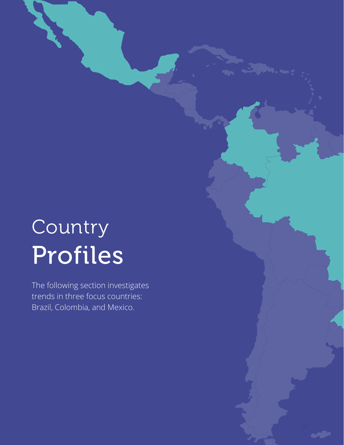# Country Profiles

**Brazil, Colombia, and Mexico.** The following section investigates trends in three focus countries: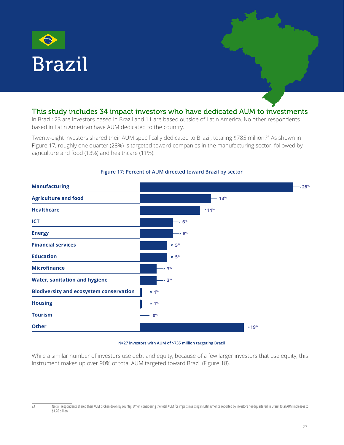<span id="page-26-0"></span>

### This study includes 34 impact investors who have dedicated AUM to investments

in Brazil; 23 are investors based in Brazil and 11 are based outside of Latin America. No other respondents based in Latin American have AUM dedicated to the country.

Twenty-eight investors shared their AUM specifically dedicated to Brazil, totaling \$785 million.23 As shown in Figure 17, roughly one quarter (28%) is targeted toward companies in the manufacturing sector, followed by agriculture and food (13%) and healthcare (11%).



### **Figure 17: Percent of AUM directed toward Brazil by sector**

#### **N=27 investors with AUM of \$735 million targeting Brazil**

While a similar number of investors use debt and equity, because of a few larger investors that use equity, this instrument makes up over 90% of total AUM targeted toward Brazil (Figure 18).

<sup>23</sup> Not all respondents shared their AUM broken down by country. When considering the total AUM for impact investing in Latin America reported by investors headquartered in Brazil, total AUM increases to \$1.26 billion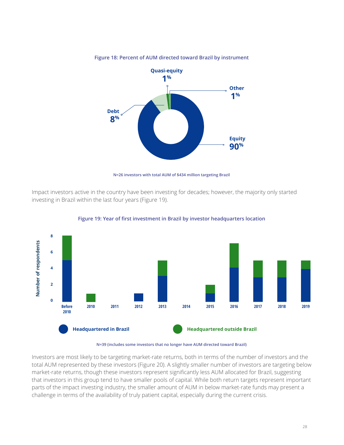

**Figure 18: Percent of AUM directed toward Brazil by instrument**

**N=26 investors with total AUM of \$434 million targeting Brazil**

Impact investors active in the country have been investing for decades; however, the majority only started investing in Brazil within the last four years (Figure 19).



**Figure 19: Year of first investment in Brazil by investor headquarters location**

#### **N=39 (includes some investors that no longer have AUM directed toward Brazil)**

Investors are most likely to be targeting market-rate returns, both in terms of the number of investors and the total AUM represented by these investors (Figure 20). A slightly smaller number of investors are targeting below market-rate returns, though these investors represent significantly less AUM allocated for Brazil, suggesting that investors in this group tend to have smaller pools of capital. While both return targets represent important parts of the impact investing industry, the smaller amount of AUM in below market-rate funds may present a challenge in terms of the availability of truly patient capital, especially during the current crisis.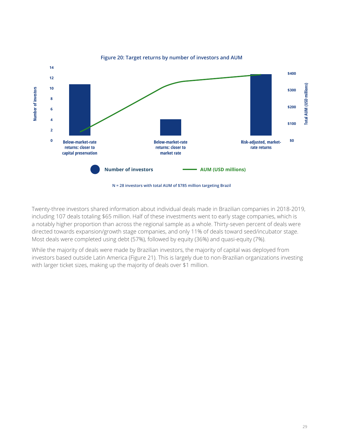

#### **Figure 20: Target returns by number of investors and AUM**

Twenty-three investors shared information about individual deals made in Brazilian companies in 2018-2019, including 107 deals totaling \$65 million. Half of these investments went to early stage companies, which is a notably higher proportion than across the regional sample as a whole. Thirty-seven percent of deals were directed towards expansion/growth stage companies, and only 11% of deals toward seed/incubator stage. Most deals were completed using debt (57%), followed by equity (36%) and quasi-equity (7%).

While the majority of deals were made by Brazilian investors, the majority of capital was deployed from investors based outside Latin America (Figure 21). This is largely due to non-Brazilian organizations investing with larger ticket sizes, making up the majority of deals over \$1 million.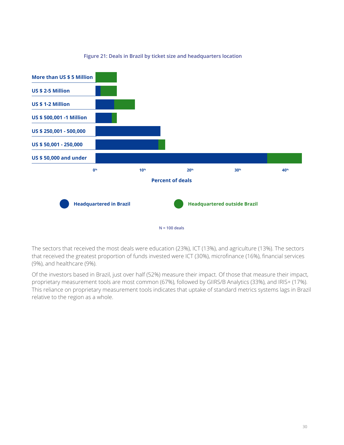

### **Figure 21: Deals in Brazil by ticket size and headquarters location**

The sectors that received the most deals were education (23%), ICT (13%), and agriculture (13%). The sectors that received the greatest proportion of funds invested were ICT (30%), microfinance (16%), financial services (9%), and healthcare (9%).

Of the investors based in Brazil, just over half (52%) measure their impact. Of those that measure their impact, proprietary measurement tools are most common (67%), followed by GIIRS/B Analytics (33%), and IRIS+ (17%). This reliance on proprietary measurement tools indicates that uptake of standard metrics systems lags in Brazil relative to the region as a whole.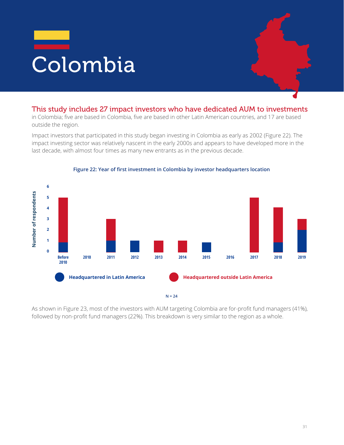<span id="page-30-0"></span>

### This study includes 27 impact investors who have dedicated AUM to investments

in Colombia; five are based in Colombia, five are based in other Latin American countries, and 17 are based outside the region.

Impact investors that participated in this study began investing in Colombia as early as 2002 (Figure 22). The impact investing sector was relatively nascent in the early 2000s and appears to have developed more in the last decade, with almost four times as many new entrants as in the previous decade.



#### **Figure 22: Year of first investment in Colombia by investor headquarters location**

As shown in Figure 23, most of the investors with AUM targeting Colombia are for-profit fund managers (41%), followed by non-profit fund managers (22%). This breakdown is very similar to the region as a whole.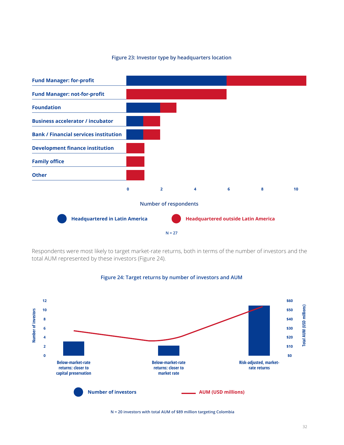#### **Figure 23: Investor type by headquarters location**



Respondents were most likely to target market-rate returns, both in terms of the number of investors and the total AUM represented by these investors (Figure 24).



### **Figure 24: Target returns by number of investors and AUM**

**N = 20 investors with total AUM of \$89 million targeting Colombia**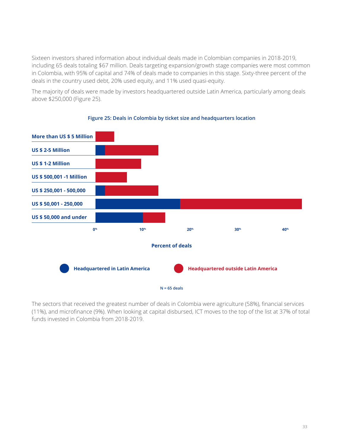Sixteen investors shared information about individual deals made in Colombian companies in 2018-2019, including 65 deals totaling \$67 million. Deals targeting expansion/growth stage companies were most common in Colombia, with 95% of capital and 74% of deals made to companies in this stage. Sixty-three percent of the deals in the country used debt, 20% used equity, and 11% used quasi-equity.

The majority of deals were made by investors headquartered outside Latin America, particularly among deals above \$250,000 (Figure 25).



### **Figure 25: Deals in Colombia by ticket size and headquarters location**

The sectors that received the greatest number of deals in Colombia were agriculture (58%), financial services (11%), and microfinance (9%). When looking at capital disbursed, ICT moves to the top of the list at 37% of total funds invested in Colombia from 2018-2019.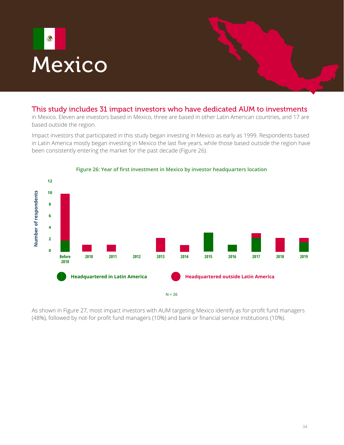<span id="page-33-0"></span>

### This study includes 31 impact investors who have dedicated AUM to investments

in Mexico. Eleven are investors based in Mexico, three are based in other Latin American countries, and 17 are based outside the region.

Impact investors that participated in this study began investing in Mexico as early as 1999. Respondents based in Latin America mostly began investing in Mexico the last five years, while those based outside the region have been consistently entering the market for the past decade (Figure 26).



#### **Figure 26: Year of first investment in Mexico by investor headquarters location**

As shown in Figure 27, most impact investors with AUM targeting Mexico identify as for-profit fund managers (48%), followed by not-for profit fund managers (10%) and bank or financial service institutions (10%).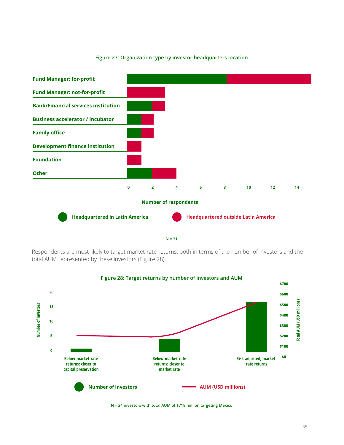### **Figure 27: Organization type by investor headquarters location**





Respondents are most likely to target market-rate returns, both in terms of the number of investors and the total AUM represented by these investors (Figure 28).



#### **N = 24 investors with total AUM of \$718 million targeting Mexico**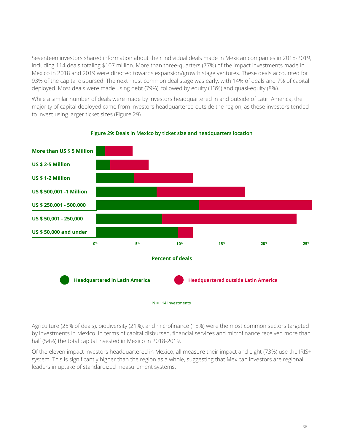Seventeen investors shared information about their individual deals made in Mexican companies in 2018-2019, including 114 deals totaling \$107 million. More than three-quarters (77%) of the impact investments made in Mexico in 2018 and 2019 were directed towards expansion/growth stage ventures. These deals accounted for 93% of the capital disbursed. The next most common deal stage was early, with 14% of deals and 7% of capital deployed. Most deals were made using debt (79%), followed by equity (13%) and quasi-equity (8%).

While a similar number of deals were made by investors headquartered in and outside of Latin America, the majority of capital deployed came from investors headquartered outside the region, as these investors tended to invest using larger ticket sizes (Figure 29).



**Figure 29: Deals in Mexico by ticket size and headquarters location**

Agriculture (25% of deals), biodiversity (21%), and microfinance (18%) were the most common sectors targeted by investments in Mexico. In terms of capital disbursed, financial services and microfinance received more than half (54%) the total capital invested in Mexico in 2018-2019.

Of the eleven impact investors headquartered in Mexico, all measure their impact and eight (73%) use the IRIS+ system. This is significantly higher than the region as a whole, suggesting that Mexican investors are regional leaders in uptake of standardized measurement systems.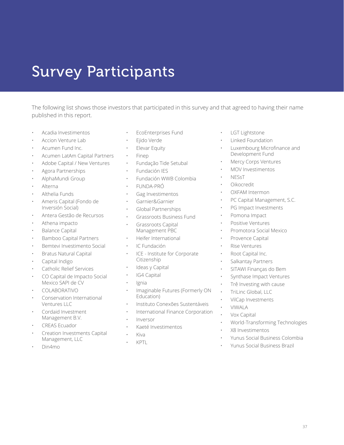## <span id="page-36-0"></span>Survey Participants

The following list shows those investors that participated in this survey and that agreed to having their name published in this report.

- Acadia Investimentos
- Accion Venture Lab
- Acumen Fund Inc.
- Acumen LatAm Capital Partners
- Adobe Capital / New Ventures
- Agora Partnerships
- AlphaMundi Group
- Alterna
- Althelia Funds
- Ameris Capital (Fondo de Inversión Social)
- Antera Gestão de Recursos
- Athena impacto
- Balance Capital
- Bamboo Capital Partners
- Bemtevi Investimento Social
- Bratus Natural Capital
- Capital Indigo
- Catholic Relief Services
- CO Capital de Impacto Social Mexico SAPI de CV
- COLABORATIVO
- Conservation International Ventures LLC
- Cordaid Investment Management B.V.
- CREAS Ecuador
- Creation Investments Capital Management, LLC
- Din4mo
- EcoEnterprises Fund
- Ejido Verde
- Elevar Equity
- Finep
- Fundação Tide Setubal
- Fundación IES
- Fundación WWB Colombia
- FUNDA-PRÓ
- Gag Investimentos
- Garnier&Garnier
- Global Partnerships
- Grassroots Business Fund
- Grassroots Capital Management PBC
- Heifer International
- IC Fundación
- ICE Institute for Corporate Citizenship
- Ideas y Capital
- IG4 Capital
- Ignia
- Imaginable Futures (Formerly ON Education)
- Instituto Conexões Sustentáveis
- International Finance Corporation
- Inversor
- Kaeté Investimentos
- Kiva
- KPTL
- LGT Lightstone
- Linked Foundation
- Luxembourg Microfinance and Development Fund
- Mercy Corps Ventures
- MOV Investimentos
- NESsT
- Oikocredit
- OXFAM Intermon
- PC Capital Management, S.C.
- PG Impact Investments
- Pomona Impact
- Positive Ventures
- Promotora Social Mexico
- Provence Capital
- **Rise Ventures**
- Root Capital Inc.
- Salkantay Partners
- SITAWI Finanças do Bem
- Synthase Impact Ventures
- Trê Investing with cause
- TriLinc Global, LLC
- VilCap Investments
- VIWALA
- Vox Capital
- World-Transforming Technologies
- X8 Investimentos
- Yunus Social Business Colombia
- Yunus Social Business Brazil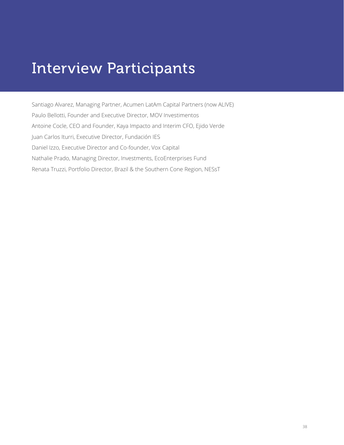## <span id="page-37-0"></span>Interview Participants

Santiago Alvarez, Managing Partner, Acumen LatAm Capital Partners (now ALIVE) Paulo Bellotti, Founder and Executive Director, MOV Investimentos Antoine Cocle, CEO and Founder, Kaya Impacto and Interim CFO, Ejido Verde Juan Carlos Iturri, Executive Director, Fundación IES Daniel Izzo, Executive Director and Co-founder, Vox Capital Nathalie Prado, Managing Director, Investments, EcoEnterprises Fund Renata Truzzi, Portfolio Director, Brazil & the Southern Cone Region, NESsT